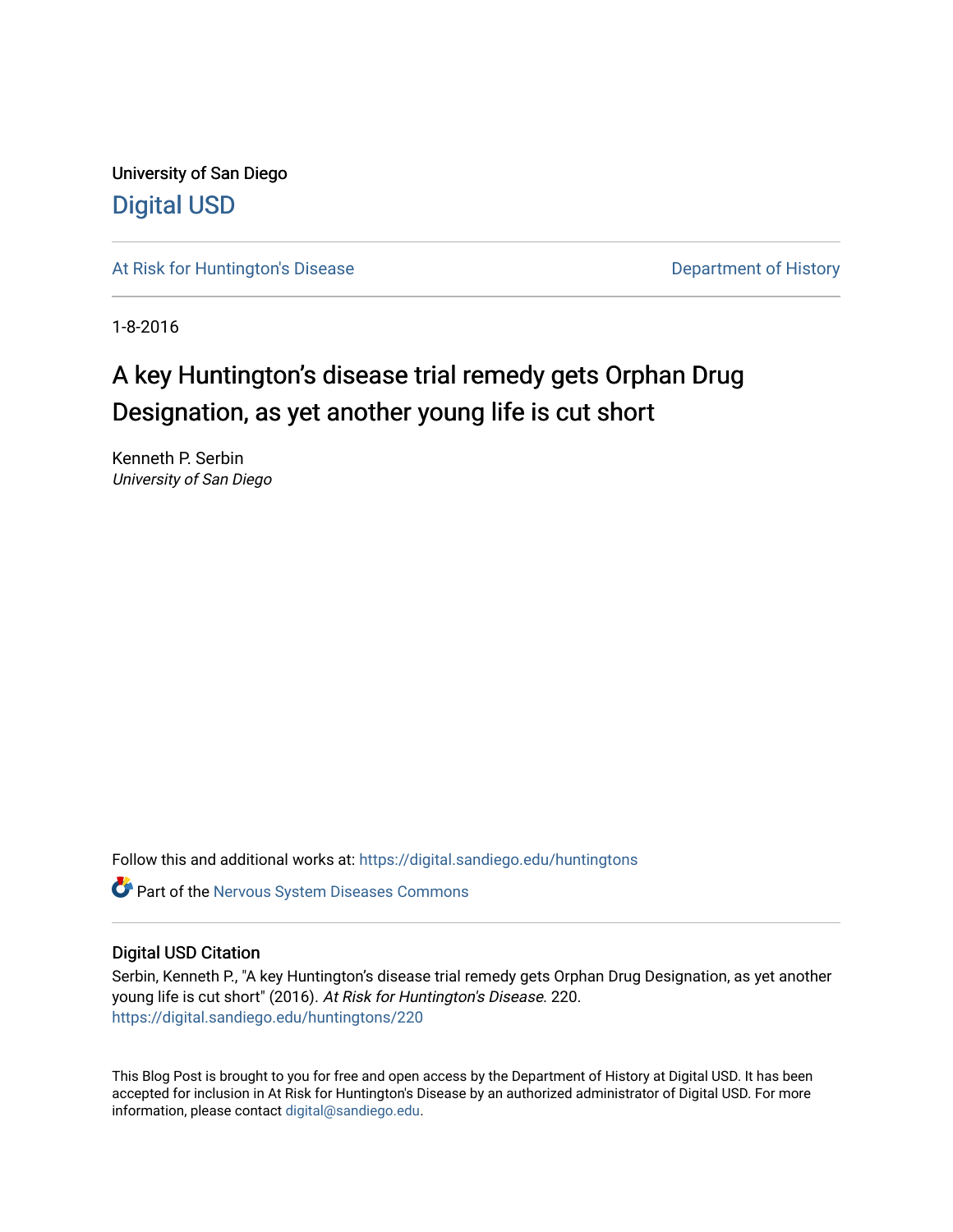University of San Diego [Digital USD](https://digital.sandiego.edu/)

[At Risk for Huntington's Disease](https://digital.sandiego.edu/huntingtons) **Department of History** Department of History

1-8-2016

# A key Huntington's disease trial remedy gets Orphan Drug Designation, as yet another young life is cut short

Kenneth P. Serbin University of San Diego

Follow this and additional works at: [https://digital.sandiego.edu/huntingtons](https://digital.sandiego.edu/huntingtons?utm_source=digital.sandiego.edu%2Fhuntingtons%2F220&utm_medium=PDF&utm_campaign=PDFCoverPages)

**C** Part of the [Nervous System Diseases Commons](http://network.bepress.com/hgg/discipline/928?utm_source=digital.sandiego.edu%2Fhuntingtons%2F220&utm_medium=PDF&utm_campaign=PDFCoverPages)

# Digital USD Citation

Serbin, Kenneth P., "A key Huntington's disease trial remedy gets Orphan Drug Designation, as yet another young life is cut short" (2016). At Risk for Huntington's Disease. 220. [https://digital.sandiego.edu/huntingtons/220](https://digital.sandiego.edu/huntingtons/220?utm_source=digital.sandiego.edu%2Fhuntingtons%2F220&utm_medium=PDF&utm_campaign=PDFCoverPages)

This Blog Post is brought to you for free and open access by the Department of History at Digital USD. It has been accepted for inclusion in At Risk for Huntington's Disease by an authorized administrator of Digital USD. For more information, please contact [digital@sandiego.edu.](mailto:digital@sandiego.edu)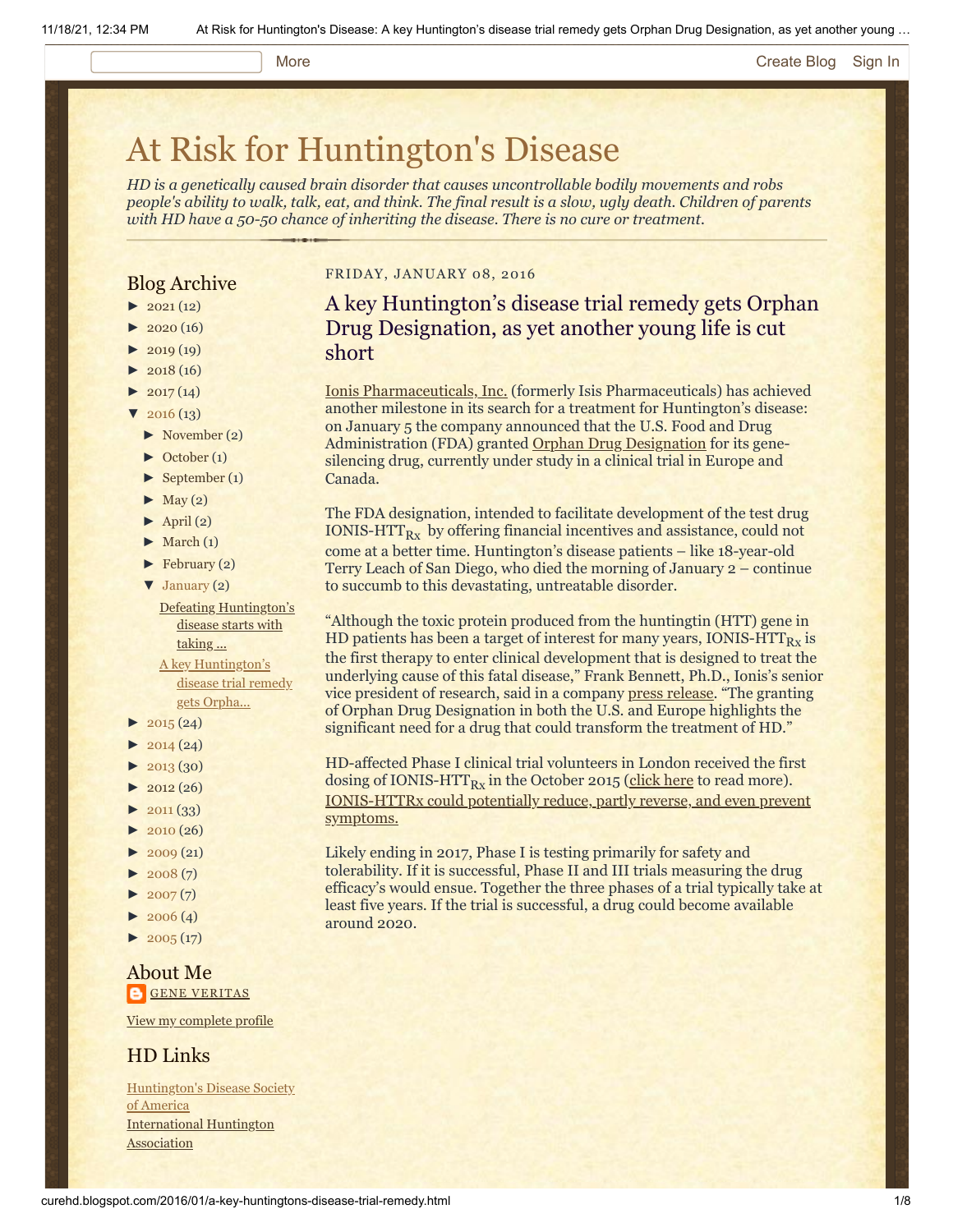#### More **[Create Blog](https://www.blogger.com/home#create) [Sign In](https://www.blogger.com/)**

# [At Risk for Huntington's Disease](http://curehd.blogspot.com/)

*HD is a genetically caused brain disorder that causes uncontrollable bodily movements and robs people's ability to walk, talk, eat, and think. The final result is a slow, ugly death. Children of parents with HD have a 50-50 chance of inheriting the disease. There is no cure or treatment.*

# Blog Archive

- $\blacktriangleright$  [2021](http://curehd.blogspot.com/2021/) (12)
- $2020(16)$  $2020(16)$
- $2019(19)$  $2019(19)$
- $\blacktriangleright$  [2018](http://curehd.blogspot.com/2018/) (16)
- $2017(14)$  $2017(14)$
- $2016(13)$  $2016(13)$
- [►](javascript:void(0)) [November](http://curehd.blogspot.com/2016/11/) (2)
- [►](javascript:void(0)) [October](http://curehd.blogspot.com/2016/10/) (1)
- [►](javascript:void(0)) [September](http://curehd.blogspot.com/2016/09/) (1)
- $\blacktriangleright$  [May](http://curehd.blogspot.com/2016/05/) (2)
- $\blacktriangleright$  [April](http://curehd.blogspot.com/2016/04/) (2)
- $\blacktriangleright$  [March](http://curehd.blogspot.com/2016/03/) (1)
- [►](javascript:void(0)) [February](http://curehd.blogspot.com/2016/02/) (2)

[▼](javascript:void(0)) [January](http://curehd.blogspot.com/2016/01/) (2) Defeating [Huntington's](http://curehd.blogspot.com/2016/01/defeating-huntingtons-disease-starts.html) disease starts with taking ...

A key [Huntington's](http://curehd.blogspot.com/2016/01/a-key-huntingtons-disease-trial-remedy.html) disease trial remedy gets Orpha...

- $2015(24)$  $2015(24)$
- $2014(24)$  $2014(24)$
- $-2013(30)$  $-2013(30)$  $-2013(30)$
- $\blacktriangleright$  [2012](http://curehd.blogspot.com/2012/) (26)
- $\blacktriangleright$  [2011](http://curehd.blogspot.com/2011/) (33)
- [►](javascript:void(0)) [2010](http://curehd.blogspot.com/2010/) (26)
- $\blacktriangleright$  [2009](http://curehd.blogspot.com/2009/) (21)
- $-2008(7)$  $-2008(7)$  $-2008(7)$
- $\blacktriangleright$  [2007](http://curehd.blogspot.com/2007/) $(7)$
- $\blacktriangleright$  [2006](http://curehd.blogspot.com/2006/) (4)
- $\blacktriangleright$  [2005](http://curehd.blogspot.com/2005/) (17)

# About Me **GENE [VERITAS](https://www.blogger.com/profile/10911736205741688185)**

View my [complete](https://www.blogger.com/profile/10911736205741688185) profile

# HD Links

[Huntington's](http://www.hdsa.org/) Disease Society of America [International](http://www.huntington-assoc.com/) Huntington **Association** 

#### FRIDAY, JANUARY 08, 2016

A key Huntington's disease trial remedy gets Orphan Drug Designation, as yet another young life is cut short

[Ionis Pharmaceuticals, Inc.](http://www.ionispharma.com/) (formerly Isis Pharmaceuticals) has achieved another milestone in its search for a treatment for Huntington's disease: on January 5 the company announced that the U.S. Food and Drug Administration (FDA) granted [Orphan Drug Designation](http://www.fda.gov/ForIndustry/DevelopingProductsforRareDiseasesConditions/ucm2005525.htm) for its genesilencing drug, currently under study in a clinical trial in Europe and Canada.

The FDA designation, intended to facilitate development of the test drug IONIS-HTT $_{Rx}$  by offering financial incentives and assistance, could not come at a better time. Huntington's disease patients – like 18-year-old Terry Leach of San Diego, who died the morning of January 2 – continue to succumb to this devastating, untreatable disorder.

"Although the toxic protein produced from the huntingtin (HTT) gene in HD patients has been a target of interest for many years, IONIS-HTT $_{\rm{Rx}}$  is the first therapy to enter clinical development that is designed to treat the underlying cause of this fatal disease," Frank Bennett, Ph.D., Ionis's senior vice president of research, said in a company [press release.](http://ir.ionispharma.com/phoenix.zhtml?c=222170&p=irol-newsArticle&ID=2126154) "The granting of Orphan Drug Designation in both the U.S. and Europe highlights the significant need for a drug that could transform the treatment of HD."

HD-affected Phase I clinical trial volunteers in London received the first dosing of IONIS-HTT<sub>Rx</sub> in the October 2015 <u>(click here</u> to read more). [IONIS-HTTRx could potentially reduce, partly reverse, and even prevent](http://www.curehd.blogspot.com/2014/09/moving-toward-potential-treatment-isis.html) symptoms.

Likely ending in 2017, Phase I is testing primarily for safety and tolerability. If it is successful, Phase II and III trials measuring the drug efficacy's would ensue. Together the three phases of a trial typically take at least five years. If the trial is successful, a drug could become available around 2020.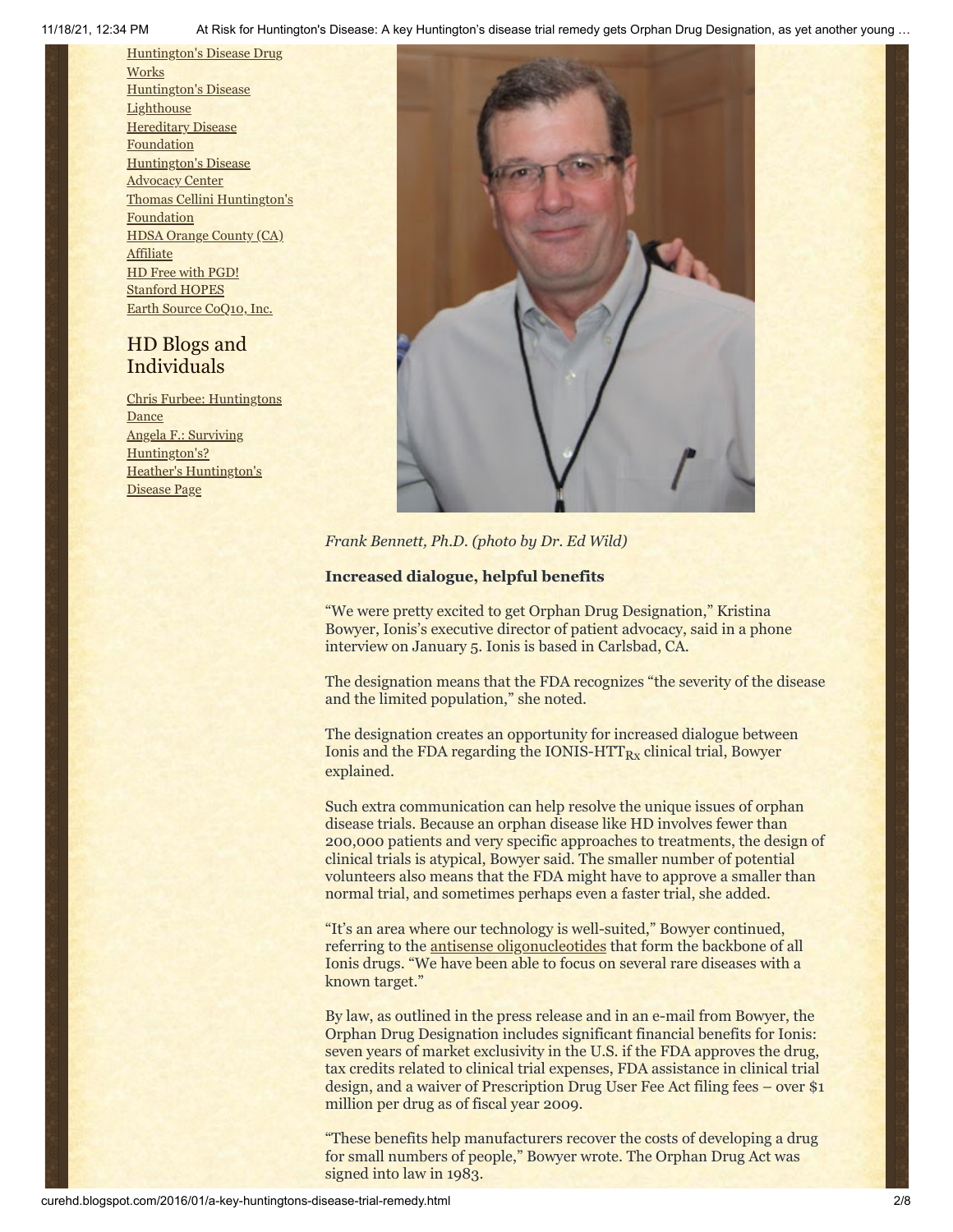11/18/21, 12:34 PM At Risk for Huntington's Disease: A key Huntington's disease trial remedy gets Orphan Drug Designation, as yet another young …

[Huntington's](http://hddrugworks.org/) Disease Drug **Works** [Huntington's](http://www.hdlighthouse.org/) Disease **Lighthouse Hereditary Disease [Foundation](http://www.hdfoundation.org/)** [Huntington's](http://www.hdac.org/) Disease Advocacy Center Thomas [Cellini Huntington's](http://www.ourtchfoundation.org/) Foundation HDSA Orange County (CA) **[Affiliate](http://www.hdsaoc.org/)** HD Free with [PGD!](http://www.hdfreewithpgd.com/) [Stanford](http://www.stanford.edu/group/hopes/) HOPES Earth Source [CoQ10,](http://www.escoq10.com/) Inc.

# HD Blogs and Individuals

Chris Furbee: [Huntingtons](http://www.huntingtonsdance.org/) **Dance** Angela F.: Surviving [Huntington's?](http://survivinghuntingtons.blogspot.com/) Heather's [Huntington's](http://heatherdugdale.angelfire.com/) Disease Page



*Frank Bennett, Ph.D. (photo by Dr. Ed Wild)*

#### **Increased dialogue, helpful benefits**

"We were pretty excited to get Orphan Drug Designation," Kristina Bowyer, Ionis's executive director of patient advocacy, said in a phone interview on January 5. Ionis is based in Carlsbad, CA.

The designation means that the FDA recognizes "the severity of the disease and the limited population," she noted.

The designation creates an opportunity for increased dialogue between Ionis and the FDA regarding the IONIS-HTT $_{\rm{Rx}}$  clinical trial, Bowyer explained.

Such extra communication can help resolve the unique issues of orphan disease trials. Because an orphan disease like HD involves fewer than 200,000 patients and very specific approaches to treatments, the design of clinical trials is atypical, Bowyer said. The smaller number of potential volunteers also means that the FDA might have to approve a smaller than normal trial, and sometimes perhaps even a faster trial, she added.

"It's an area where our technology is well-suited," Bowyer continued, referring to the [antisense oligonucleotides](http://www.ionispharma.com/rd/antisense-technology/discovery-platform/basic-science/) that form the backbone of all Ionis drugs. "We have been able to focus on several rare diseases with a known target."

By law, as outlined in the press release and in an e-mail from Bowyer, the Orphan Drug Designation includes significant financial benefits for Ionis: seven years of market exclusivity in the U.S. if the FDA approves the drug, tax credits related to clinical trial expenses, FDA assistance in clinical trial design, and a waiver of Prescription Drug User Fee Act filing fees – over \$1 million per drug as of fiscal year 2009.

"These benefits help manufacturers recover the costs of developing a drug for small numbers of people," Bowyer wrote. The Orphan Drug Act was signed into law in 1983.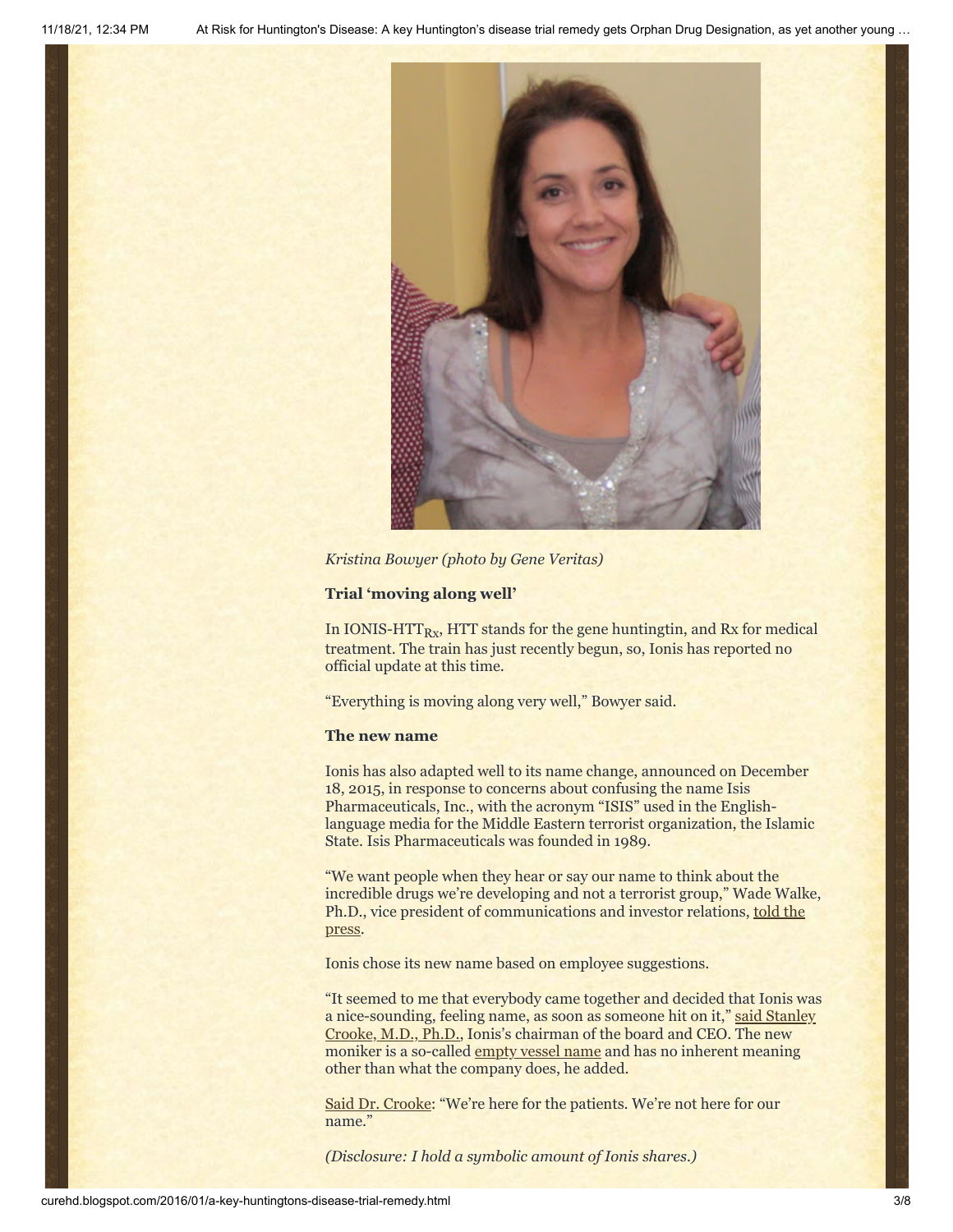

*Kristina Bowyer (photo by Gene Veritas)*

#### **Trial 'moving along well'**

In IONIS-HTT $_{\rm{Rx}}$ , HTT stands for the gene huntingtin, and Rx for medical treatment. The train has just recently begun, so, Ionis has reported no official update at this time.

"Everything is moving along very well," Bowyer said.

#### **The new name**

Ionis has also adapted well to its name change, announced on December 18, 2015, in response to concerns about confusing the name Isis Pharmaceuticals, Inc., with the acronym "ISIS" used in the Englishlanguage media for the Middle Eastern terrorist organization, the Islamic State. Isis Pharmaceuticals was founded in 1989.

"We want people when they hear or say our name to think about the incredible drugs we're developing and not a terrorist group," Wade Walke, [Ph.D., vice president of communications and investor relations, told the](http://fortune.com/2015/12/18/isis-pharmaceuticals-name-change-terrorists/) press.

Ionis chose its new name based on employee suggestions.

"It seemed to me that everybody came together and decided that Ionis was [a nice-sounding, feeling name, as soon as someone hit on it,"](http://www.sandiegouniontribune.com/news/2015/dec/18/isis-ionis-name-change/) said Stanley Crooke, M.D., Ph.D., Ionis's chairman of the board and CEO. The new moniker is a so-called [empty vessel name](http://www.ahundredmonkeys.com/empty-vessel-company-names/) and has no inherent meaning other than what the company does, he added.

[Said Dr. Crooke](https://www.washingtonpost.com/news/morning-mix/wp/2015/12/21/when-your-4-letter-brand-becomes-a-4-letter-word-how-isis-pharmaceuticals-became-ionis/): "We're here for the patients. We're not here for our name."

*(Disclosure: I hold a symbolic amount of Ionis shares.)*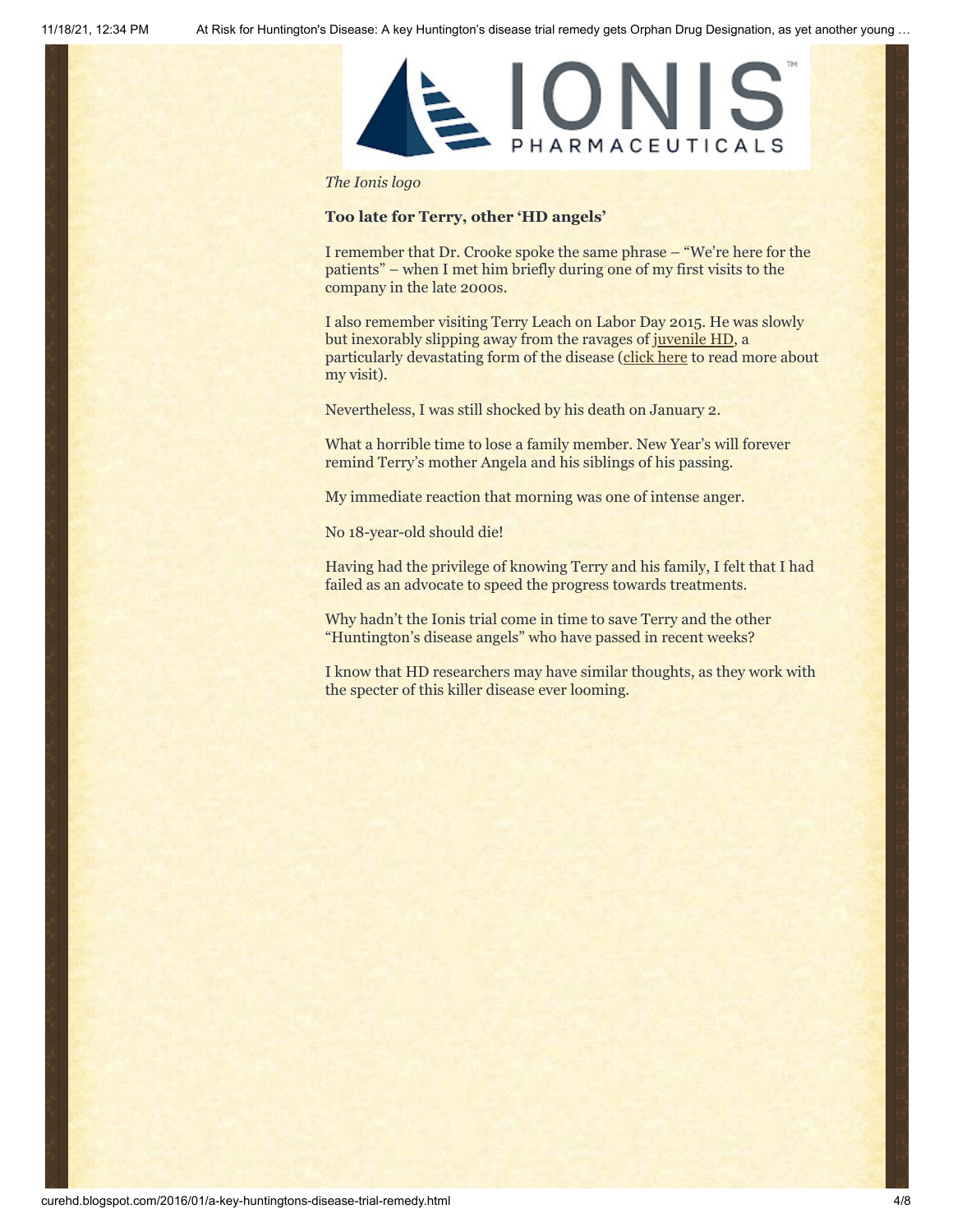

#### *The Ionis logo*

#### **Too late for Terry, other 'HD angels'**

I remember that Dr. Crooke spoke the same phrase – "We're here for the patients" – when I met him briefly during one of my first visits to the company in the late 2000s.

I also remember visiting Terry Leach on Labor Day 2015. He was slowly but inexorably slipping away from the ravages of [juvenile HD,](http://jhdkids.com/) a particularly devastating form of the disease ([click here](http://www.curehd.blogspot.com/2015/09/as-he-lay-dying-fda-and-huntingtons.html) to read more about my visit).

Nevertheless, I was still shocked by his death on January 2.

What a horrible time to lose a family member. New Year's will forever remind Terry's mother Angela and his siblings of his passing.

My immediate reaction that morning was one of intense anger.

No 18-year-old should die!

Having had the privilege of knowing Terry and his family, I felt that I had failed as an advocate to speed the progress towards treatments.

Why hadn't the Ionis trial come in time to save Terry and the other "Huntington's disease angels" who have passed in recent weeks?

I know that HD researchers may have similar thoughts, as they work with the specter of this killer disease ever looming.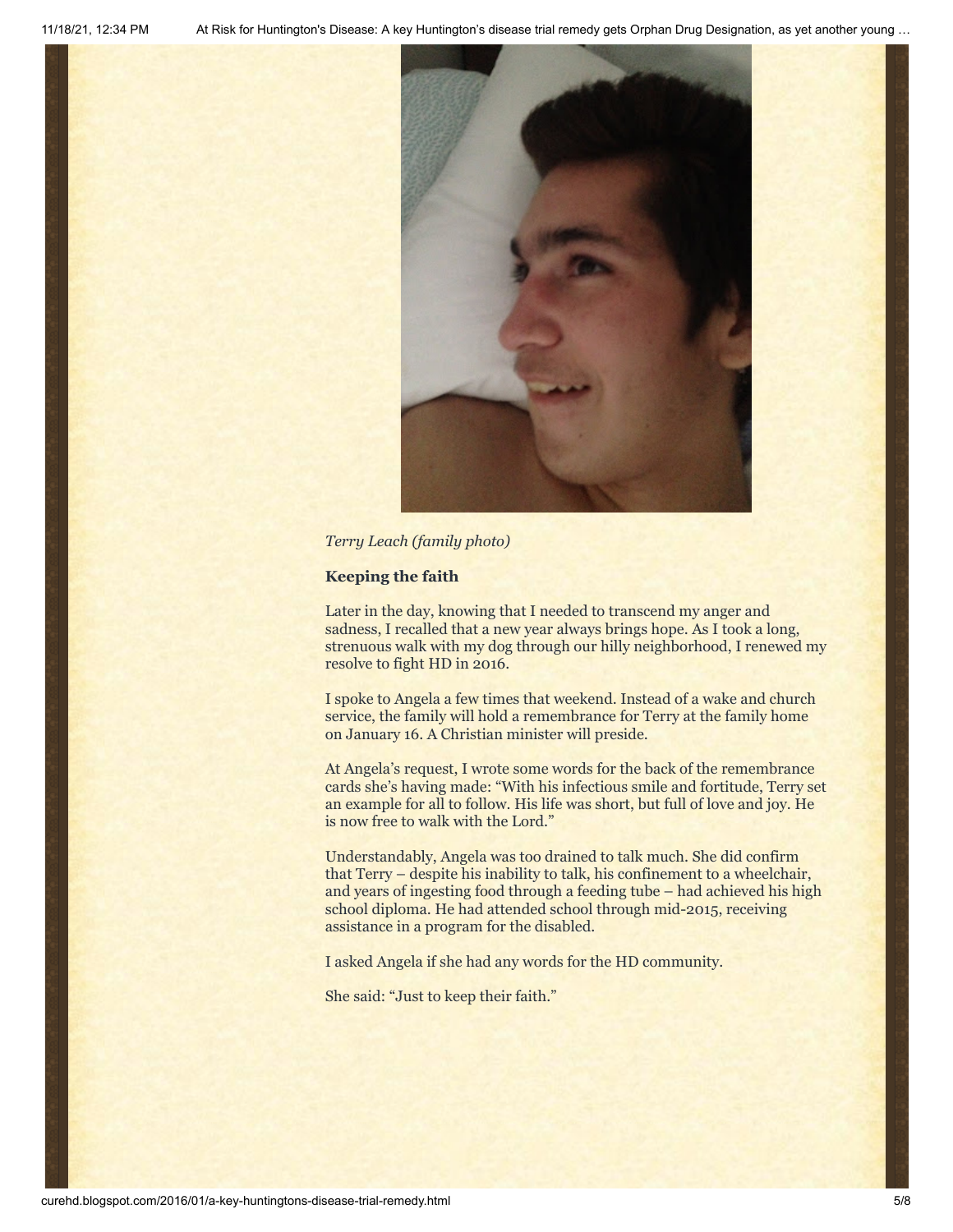

*Terry Leach (family photo)*

#### **Keeping the faith**

Later in the day, knowing that I needed to transcend my anger and sadness, I recalled that a new year always brings hope. As I took a long, strenuous walk with my dog through our hilly neighborhood, I renewed my resolve to fight HD in 2016.

I spoke to Angela a few times that weekend. Instead of a wake and church service, the family will hold a remembrance for Terry at the family home on January 16. A Christian minister will preside.

At Angela's request, I wrote some words for the back of the remembrance cards she's having made: "With his infectious smile and fortitude, Terry set an example for all to follow. His life was short, but full of love and joy. He is now free to walk with the Lord."

Understandably, Angela was too drained to talk much. She did confirm that Terry – despite his inability to talk, his confinement to a wheelchair, and years of ingesting food through a feeding tube – had achieved his high school diploma. He had attended school through mid-2015, receiving assistance in a program for the disabled.

I asked Angela if she had any words for the HD community.

She said: "Just to keep their faith."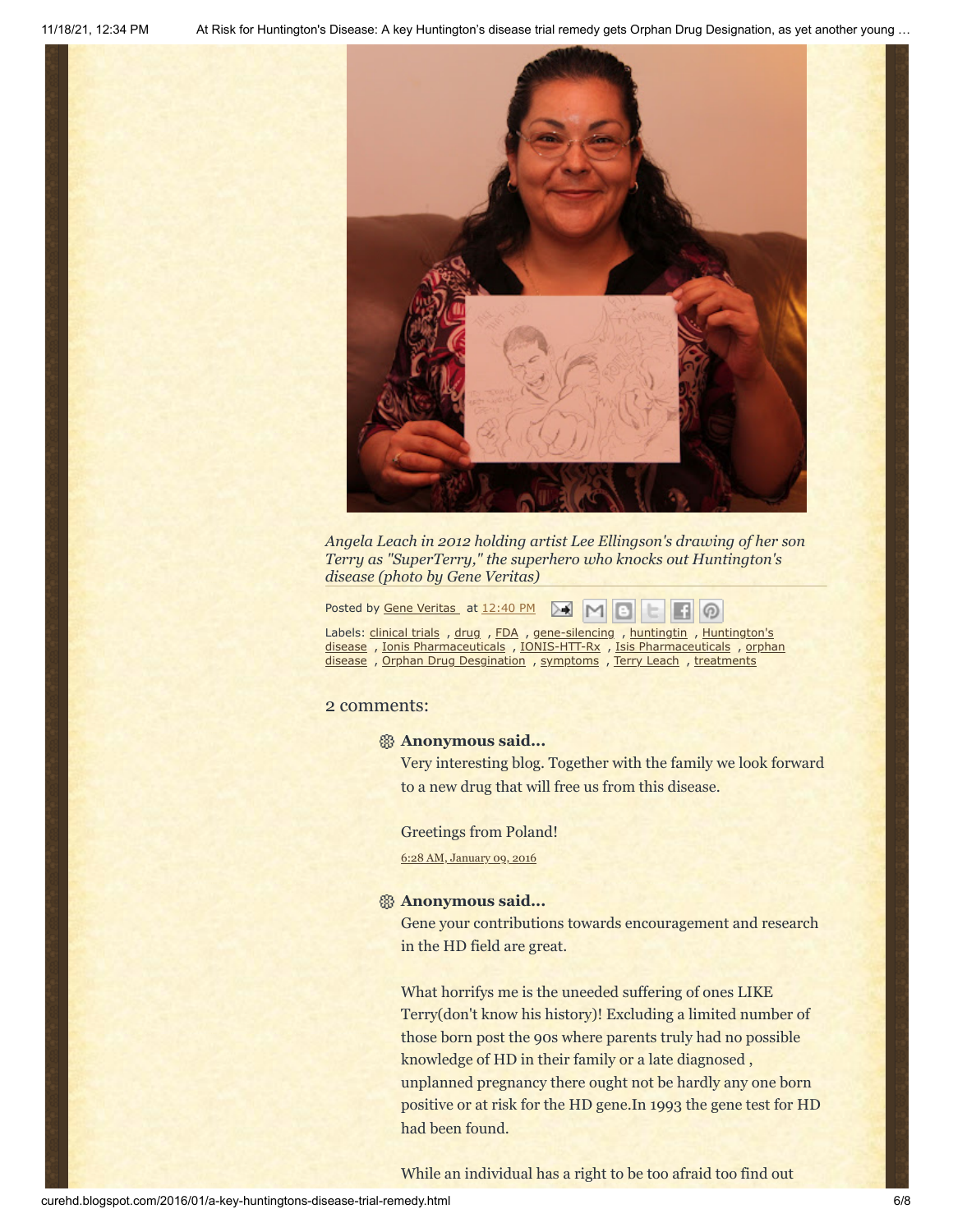

*Angela Leach in 2012 holding artist Lee Ellingson's drawing of her son Terry as "SuperTerry," the superhero who knocks out Huntington's disease (photo by Gene Veritas)*

Posted by **Gene [Veritas](https://www.blogger.com/profile/03599828959793084715)** at [12:40](http://curehd.blogspot.com/2016/01/a-key-huntingtons-disease-trial-remedy.html) PM  $>1$ 

Labels: [clinical](http://curehd.blogspot.com/search/label/clinical%20trials) trials , [drug](http://curehd.blogspot.com/search/label/drug) , [FDA](http://curehd.blogspot.com/search/label/FDA) , [gene-silencing](http://curehd.blogspot.com/search/label/gene-silencing) , [huntingtin](http://curehd.blogspot.com/search/label/huntingtin) , Huntington's disease , Ionis [Pharmaceuticals](http://curehd.blogspot.com/search/label/Huntington%27s%20disease) , [IONIS-HTT-Rx](http://curehd.blogspot.com/search/label/IONIS-HTT-Rx) , Isis [Pharmaceuticals](http://curehd.blogspot.com/search/label/Isis%20Pharmaceuticals) , orphan disease , Orphan Drug [Desgination](http://curehd.blogspot.com/search/label/Orphan%20Drug%20Desgination) , [symptoms](http://curehd.blogspot.com/search/label/symptoms) , Terry [Leach](http://curehd.blogspot.com/search/label/Terry%20Leach) , [treatments](http://curehd.blogspot.com/search/label/treatments)

#### 2 comments:

#### **Anonymous said...**

Very interesting blog. Together with the family we look forward to a new drug that will free us from this disease.

 $\circ$ 

Greetings from Poland!

6:28 AM, [January](http://curehd.blogspot.com/2016/01/a-key-huntingtons-disease-trial-remedy.html?showComment=1452349739773#c9023818707392347716) 09, 2016

### **Anonymous said...**

Gene your contributions towards encouragement and research in the HD field are great.

What horrifys me is the uneeded suffering of ones LIKE Terry(don't know his history)! Excluding a limited number of those born post the 90s where parents truly had no possible knowledge of HD in their family or a late diagnosed , unplanned pregnancy there ought not be hardly any one born positive or at risk for the HD gene.In 1993 the gene test for HD had been found.

While an individual has a right to be too afraid too find out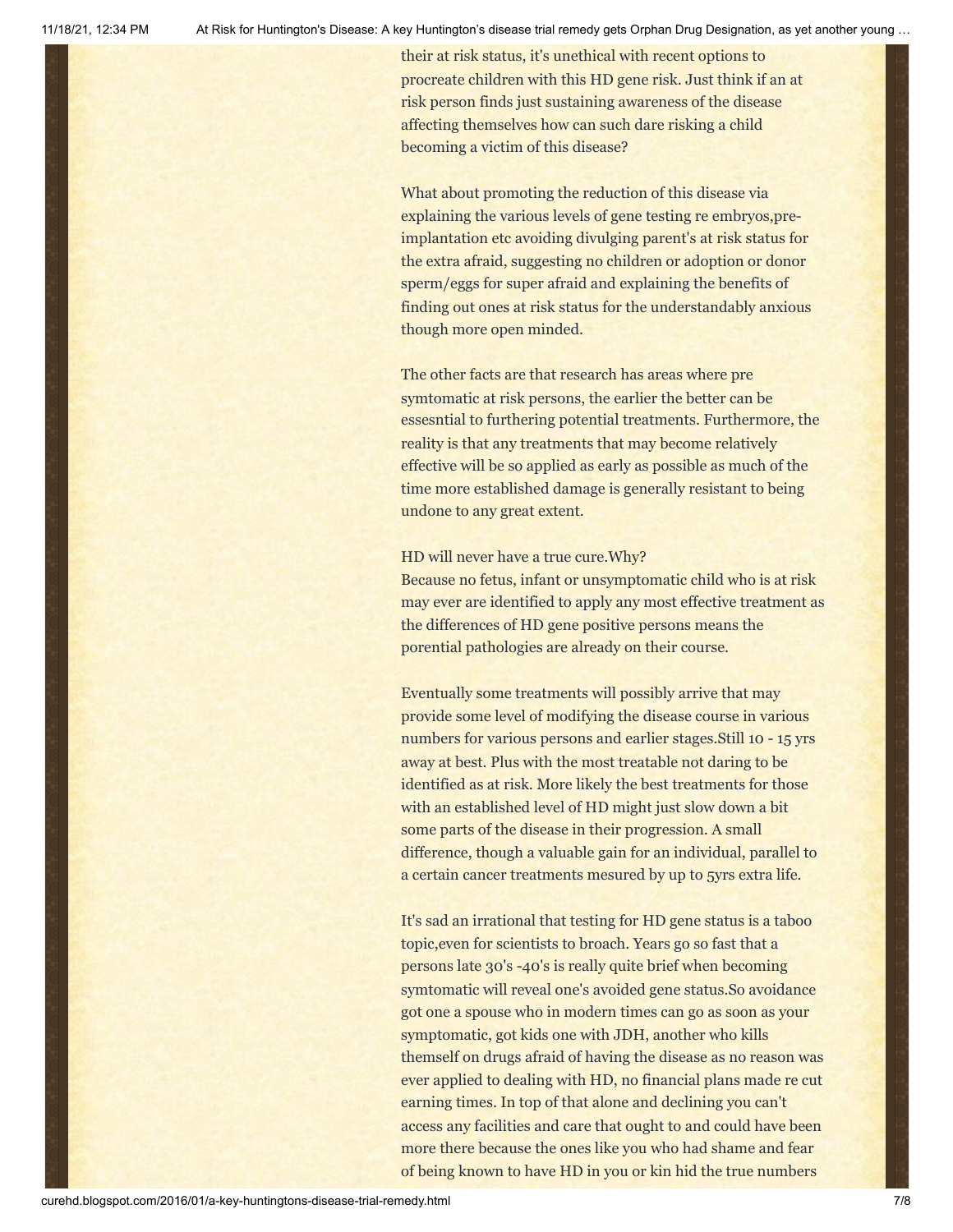their at risk status, it's unethical with recent options to procreate children with this HD gene risk. Just think if an at risk person finds just sustaining awareness of the disease affecting themselves how can such dare risking a child becoming a victim of this disease?

What about promoting the reduction of this disease via explaining the various levels of gene testing re embryos,preimplantation etc avoiding divulging parent's at risk status for the extra afraid, suggesting no children or adoption or donor sperm/eggs for super afraid and explaining the benefits of finding out ones at risk status for the understandably anxious though more open minded.

The other facts are that research has areas where pre symtomatic at risk persons, the earlier the better can be essesntial to furthering potential treatments. Furthermore, the reality is that any treatments that may become relatively effective will be so applied as early as possible as much of the time more established damage is generally resistant to being undone to any great extent.

#### HD will never have a true cure.Why?

Because no fetus, infant or unsymptomatic child who is at risk may ever are identified to apply any most effective treatment as the differences of HD gene positive persons means the porential pathologies are already on their course.

Eventually some treatments will possibly arrive that may provide some level of modifying the disease course in various numbers for various persons and earlier stages.Still 10 - 15 yrs away at best. Plus with the most treatable not daring to be identified as at risk. More likely the best treatments for those with an established level of HD might just slow down a bit some parts of the disease in their progression. A small difference, though a valuable gain for an individual, parallel to a certain cancer treatments mesured by up to 5yrs extra life.

It's sad an irrational that testing for HD gene status is a taboo topic,even for scientists to broach. Years go so fast that a persons late 30's -40's is really quite brief when becoming symtomatic will reveal one's avoided gene status.So avoidance got one a spouse who in modern times can go as soon as your symptomatic, got kids one with JDH, another who kills themself on drugs afraid of having the disease as no reason was ever applied to dealing with HD, no financial plans made re cut earning times. In top of that alone and declining you can't access any facilities and care that ought to and could have been more there because the ones like you who had shame and fear of being known to have HD in you or kin hid the true numbers